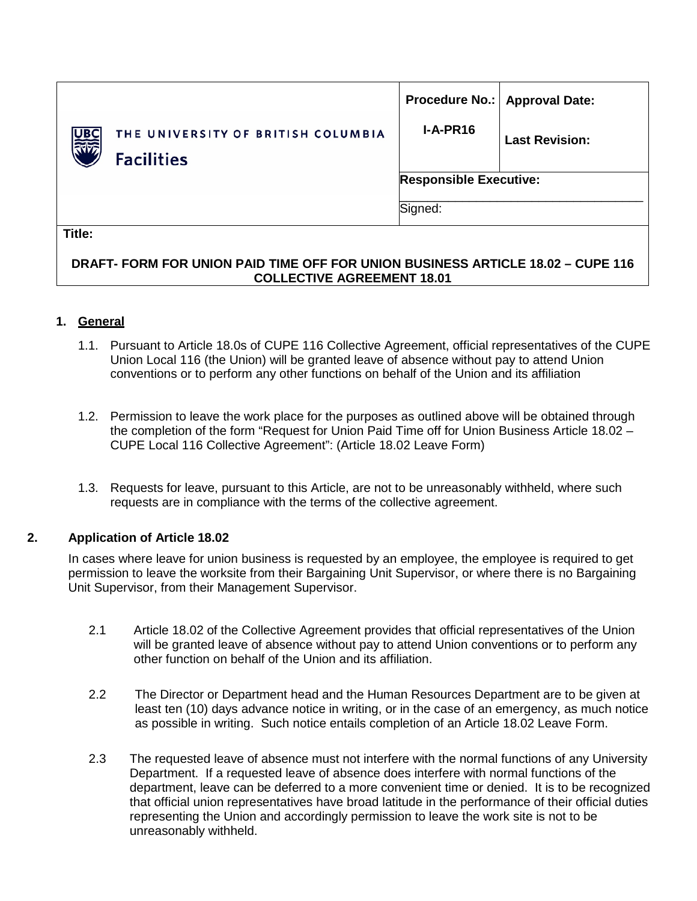| UBC                                                                             | THE UNIVERSITY OF BRITISH COLUMBIA<br><b>Facilities</b> | <b>Procedure No.:</b><br>$I-A-PR16$ | <b>Approval Date:</b><br><b>Last Revision:</b> |
|---------------------------------------------------------------------------------|---------------------------------------------------------|-------------------------------------|------------------------------------------------|
|                                                                                 |                                                         | <b>Responsible Executive:</b>       |                                                |
|                                                                                 |                                                         |                                     |                                                |
|                                                                                 |                                                         | Signed:                             |                                                |
| Title:                                                                          |                                                         |                                     |                                                |
| DRAFT- FORM FOR UNION PAID TIME OFF FOR UNION BUSINESS ARTICLE 18.02 - CUPE 116 |                                                         |                                     |                                                |

**COLLECTIVE AGREEMENT 18.01**

## **1. General**

- 1.1. Pursuant to Article 18.0s of CUPE 116 Collective Agreement, official representatives of the CUPE Union Local 116 (the Union) will be granted leave of absence without pay to attend Union conventions or to perform any other functions on behalf of the Union and its affiliation
- 1.2. Permission to leave the work place for the purposes as outlined above will be obtained through the completion of the form "Request for Union Paid Time off for Union Business Article 18.02 – CUPE Local 116 Collective Agreement": (Article 18.02 Leave Form)
- 1.3. Requests for leave, pursuant to this Article, are not to be unreasonably withheld, where such requests are in compliance with the terms of the collective agreement.

## **2. Application of Article 18.02**

In cases where leave for union business is requested by an employee, the employee is required to get permission to leave the worksite from their Bargaining Unit Supervisor, or where there is no Bargaining Unit Supervisor, from their Management Supervisor.

- 2.1 Article 18.02 of the Collective Agreement provides that official representatives of the Union will be granted leave of absence without pay to attend Union conventions or to perform any other function on behalf of the Union and its affiliation.
- 2.2 The Director or Department head and the Human Resources Department are to be given at least ten (10) days advance notice in writing, or in the case of an emergency, as much notice as possible in writing. Such notice entails completion of an Article 18.02 Leave Form.
- 2.3 The requested leave of absence must not interfere with the normal functions of any University Department. If a requested leave of absence does interfere with normal functions of the department, leave can be deferred to a more convenient time or denied. It is to be recognized that official union representatives have broad latitude in the performance of their official duties representing the Union and accordingly permission to leave the work site is not to be unreasonably withheld.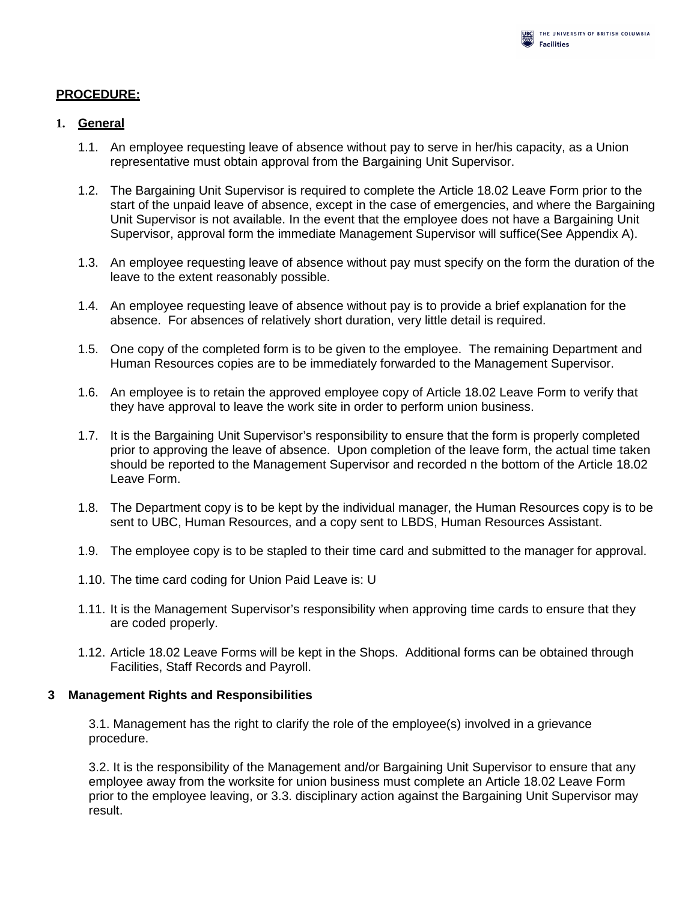### **PROCEDURE:**

#### **1. General**

- 1.1. An employee requesting leave of absence without pay to serve in her/his capacity, as a Union representative must obtain approval from the Bargaining Unit Supervisor.
- 1.2. The Bargaining Unit Supervisor is required to complete the Article 18.02 Leave Form prior to the start of the unpaid leave of absence, except in the case of emergencies, and where the Bargaining Unit Supervisor is not available. In the event that the employee does not have a Bargaining Unit Supervisor, approval form the immediate Management Supervisor will suffice(See Appendix A).
- 1.3. An employee requesting leave of absence without pay must specify on the form the duration of the leave to the extent reasonably possible.
- 1.4. An employee requesting leave of absence without pay is to provide a brief explanation for the absence. For absences of relatively short duration, very little detail is required.
- 1.5. One copy of the completed form is to be given to the employee. The remaining Department and Human Resources copies are to be immediately forwarded to the Management Supervisor.
- 1.6. An employee is to retain the approved employee copy of Article 18.02 Leave Form to verify that they have approval to leave the work site in order to perform union business.
- 1.7. It is the Bargaining Unit Supervisor's responsibility to ensure that the form is properly completed prior to approving the leave of absence. Upon completion of the leave form, the actual time taken should be reported to the Management Supervisor and recorded n the bottom of the Article 18.02 Leave Form.
- 1.8. The Department copy is to be kept by the individual manager, the Human Resources copy is to be sent to UBC, Human Resources, and a copy sent to LBDS, Human Resources Assistant.
- 1.9. The employee copy is to be stapled to their time card and submitted to the manager for approval.
- 1.10. The time card coding for Union Paid Leave is: U
- 1.11. It is the Management Supervisor's responsibility when approving time cards to ensure that they are coded properly.
- 1.12. Article 18.02 Leave Forms will be kept in the Shops. Additional forms can be obtained through Facilities, Staff Records and Payroll.

#### **3 Management Rights and Responsibilities**

3.1. Management has the right to clarify the role of the employee(s) involved in a grievance procedure.

3.2. It is the responsibility of the Management and/or Bargaining Unit Supervisor to ensure that any employee away from the worksite for union business must complete an Article 18.02 Leave Form prior to the employee leaving, or 3.3. disciplinary action against the Bargaining Unit Supervisor may result.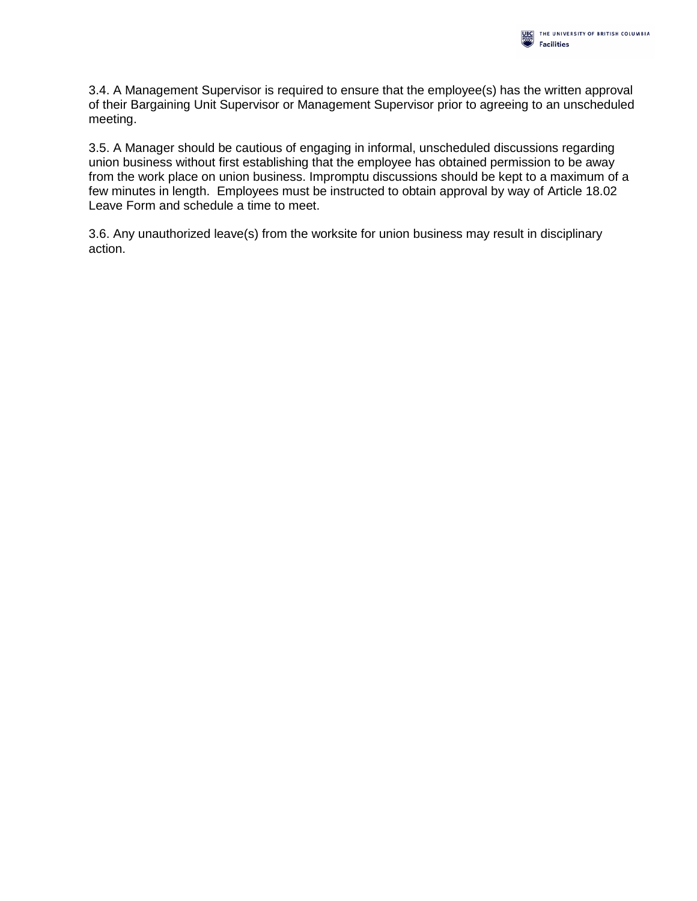3.4. A Management Supervisor is required to ensure that the employee(s) has the written approval of their Bargaining Unit Supervisor or Management Supervisor prior to agreeing to an unscheduled meeting.

3.5. A Manager should be cautious of engaging in informal, unscheduled discussions regarding union business without first establishing that the employee has obtained permission to be away from the work place on union business. Impromptu discussions should be kept to a maximum of a few minutes in length. Employees must be instructed to obtain approval by way of Article 18.02 Leave Form and schedule a time to meet.

3.6. Any unauthorized leave(s) from the worksite for union business may result in disciplinary action.